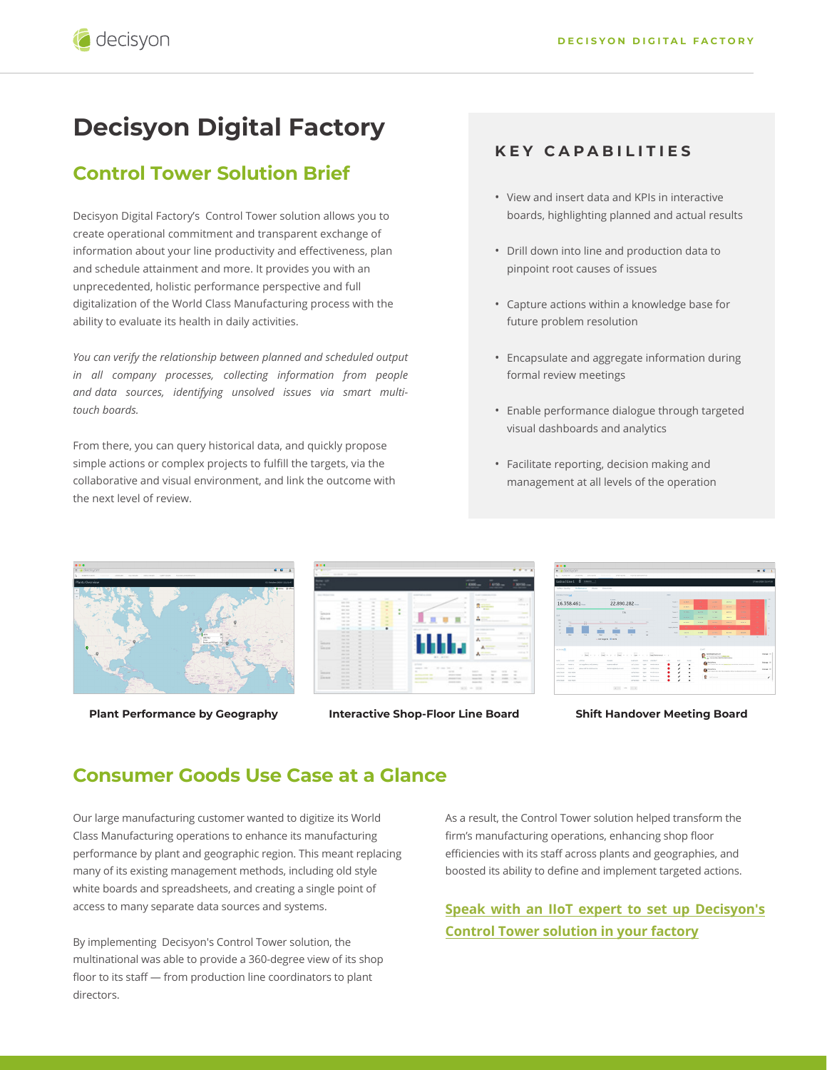# **Decisyon Digital Factory**

# **Control Tower Solution Brief**

Decisyon Digital Factory's Control Tower solution allows you to create operational commitment and transparent exchange of information about your line productivity and effectiveness, plan and schedule attainment and more. It provides you with an unprecedented, holistic performance perspective and full digitalization of the World Class Manufacturing process with the ability to evaluate its health in daily activities.

*You can verify the relationship between planned and scheduled output in all company processes, collecting information from people and data sources, identifying unsolved issues via smart multitouch boards.* 

From there, you can query historical data, and quickly propose simple actions or complex projects to fulfill the targets, via the collaborative and visual environment, and link the outcome with the next level of review.

#### **KEY CAPABILITIES**

- View and insert data and KPIs in interactive boards, highlighting planned and actual results
- Drill down into line and production data to pinpoint root causes of issues
- Capture actions within a knowledge base for future problem resolution
- Encapsulate and aggregate information during formal review meetings
- Enable performance dialogue through targeted visual dashboards and analytics
- Facilitate reporting, decision making and management at all levels of the operation





**Plant Performance by Geography Interactive Shop-Floor Line Board Shift Handover Meeting Board**



## **Consumer Goods Use Case at a Glance**

Our large manufacturing customer wanted to digitize its World Class Manufacturing operations to enhance its manufacturing performance by plant and geographic region. This meant replacing many of its existing management methods, including old style white boards and spreadsheets, and creating a single point of access to many separate data sources and systems.

By implementing Decisyon's Control Tower solution, the multinational was able to provide a 360-degree view of its shop floor to its staff — from production line coordinators to plant directors.

As a result, the Control Tower solution helped transform the firm's manufacturing operations, enhancing shop floor efficiencies with its staff across plants and geographies, and boosted its ability to define and implement targeted actions.

### **[Speak with an IIoT expert to set up Decisyon](https://decisyon.com/contact-us)'s Control Tower solution in your factory**